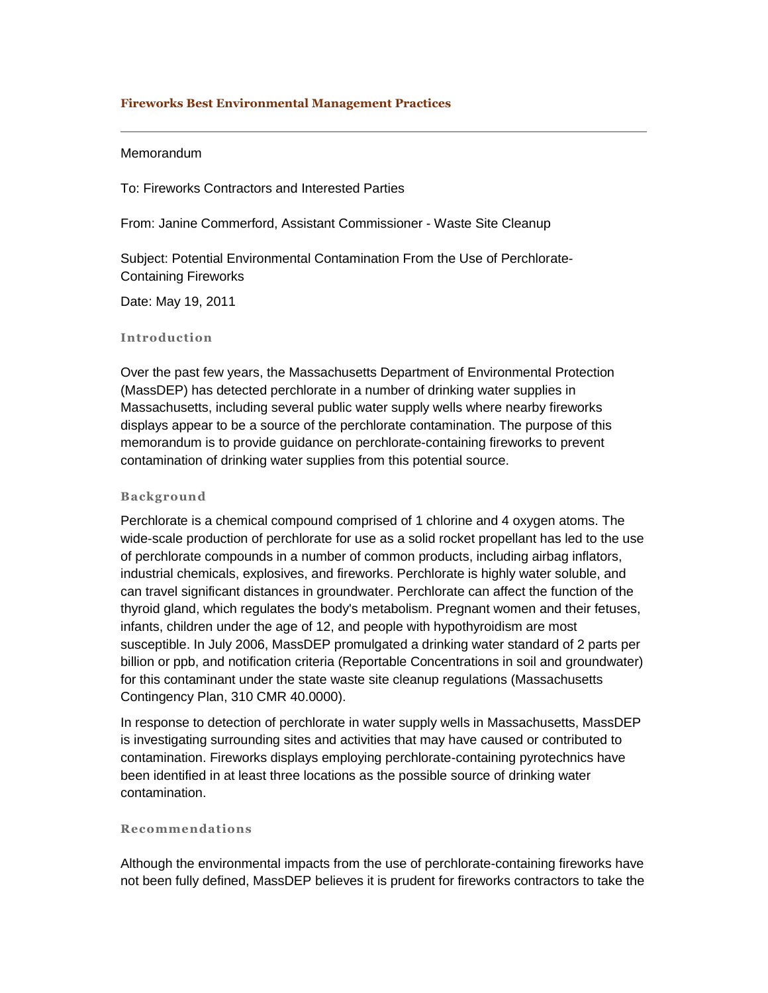# **Fireworks Best Environmental Management Practices**

# Memorandum

To: Fireworks Contractors and Interested Parties

From: Janine Commerford, Assistant Commissioner - Waste Site Cleanup

Subject: Potential Environmental Contamination From the Use of Perchlorate-Containing Fireworks

Date: May 19, 2011

## **Introduction**

Over the past few years, the Massachusetts Department of Environmental Protection (MassDEP) has detected perchlorate in a number of drinking water supplies in Massachusetts, including several public water supply wells where nearby fireworks displays appear to be a source of the perchlorate contamination. The purpose of this memorandum is to provide guidance on perchlorate-containing fireworks to prevent contamination of drinking water supplies from this potential source.

#### **Background**

Perchlorate is a chemical compound comprised of 1 chlorine and 4 oxygen atoms. The wide-scale production of perchlorate for use as a solid rocket propellant has led to the use of perchlorate compounds in a number of common products, including airbag inflators, industrial chemicals, explosives, and fireworks. Perchlorate is highly water soluble, and can travel significant distances in groundwater. Perchlorate can affect the function of the thyroid gland, which regulates the body's metabolism. Pregnant women and their fetuses, infants, children under the age of 12, and people with hypothyroidism are most susceptible. In July 2006, MassDEP promulgated a drinking water standard of 2 parts per billion or ppb, and notification criteria (Reportable Concentrations in soil and groundwater) for this contaminant under the state waste site cleanup regulations (Massachusetts Contingency Plan, 310 CMR 40.0000).

In response to detection of perchlorate in water supply wells in Massachusetts, MassDEP is investigating surrounding sites and activities that may have caused or contributed to contamination. Fireworks displays employing perchlorate-containing pyrotechnics have been identified in at least three locations as the possible source of drinking water contamination.

# **Recommendations**

Although the environmental impacts from the use of perchlorate-containing fireworks have not been fully defined, MassDEP believes it is prudent for fireworks contractors to take the